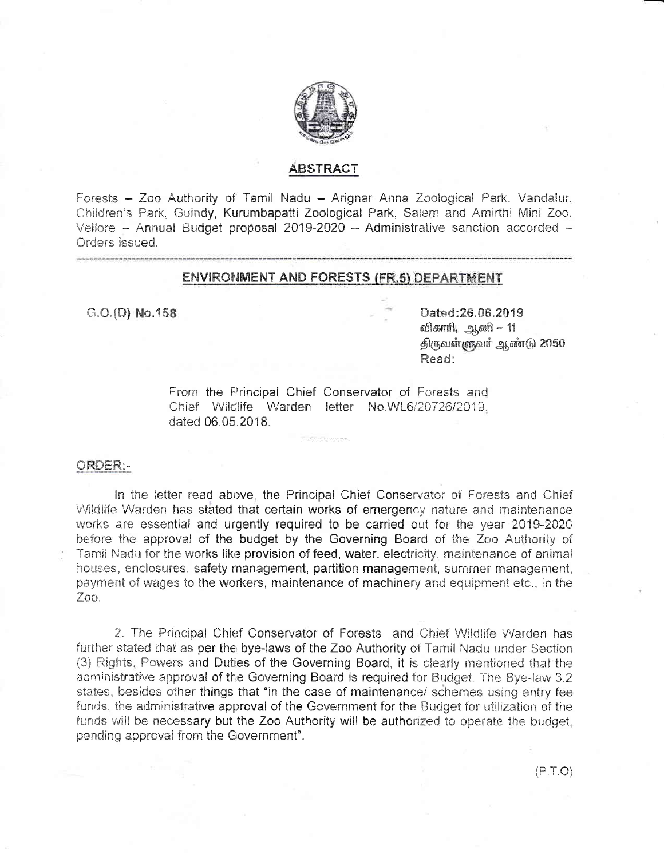

### **ABSTRACT**

Forests - Zoo Authority of Tamil Nadu - Arignar Anna Zoological Park, Vandalur, Children's Park, Guindy, Kurumbapatti Zoological Park, Salem and Amirthi Mini Zoo, Vellore - Annual Budget proposal 2019-2020 - Administrative sanction accorded -Orders issued.

### **ENVIRONMENT AND FORESTS (FR.5) DEPARTMENT**

 $G.O.(D) No.158$ 

Dated: 26.06.2019 விகாரி, ஆனி - 11 திருவள்ளுவர் ஆண்டு 2050 Read:

From the Principal Chief Conservator of Forests and Chief Wildlife Warden letter No.WL6/20726/2019. dated 06.05.2018.

#### ORDER:-

In the letter read above, the Principal Chief Conservator of Forests and Chief Wildlife Warden has stated that certain works of emergency nature and maintenance works are essential and urgently required to be carried out for the year 2019-2020 before the approval of the budget by the Governing Board of the Zoo Authority of Tamil Nadu for the works like provision of feed, water, electricity, maintenance of animal houses, enclosures, safety management, partition management, summer management, payment of wages to the workers, maintenance of machinery and equipment etc., in the Zoo.

2. The Principal Chief Conservator of Forests and Chief Wildlife Warden has further stated that as per the bye-laws of the Zoo Authority of Tamil Nadu under Section. (3) Rights, Powers and Duties of the Governing Board, it is clearly mentioned that the administrative approval of the Governing Board is required for Budget. The Bye-law 3.2 states, besides other things that "in the case of maintenance/ schemes using entry fee funds, the administrative approval of the Government for the Budget for utilization of the funds will be necessary but the Zoo Authority will be authorized to operate the budget, pending approval from the Government".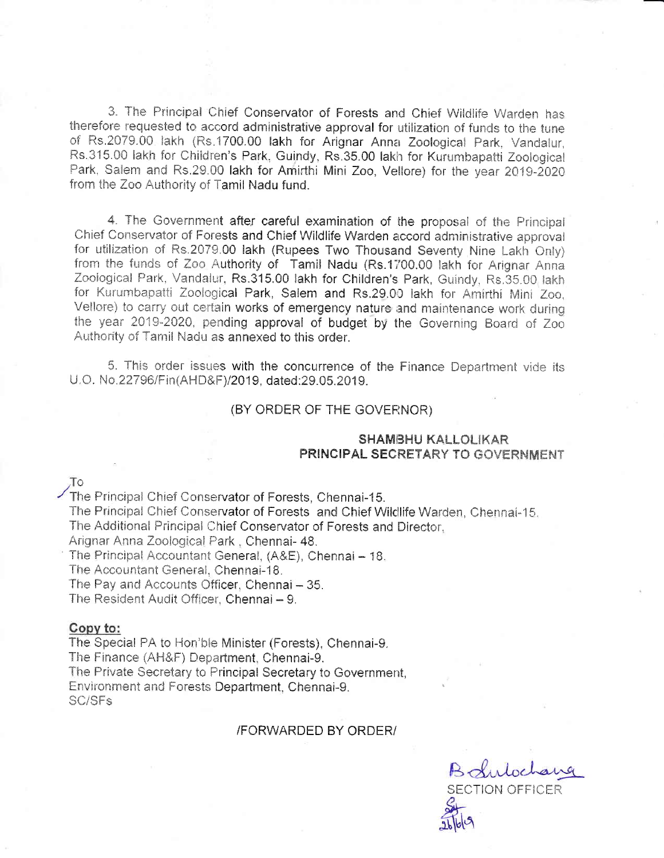3. The Principal Chief Conservator of Forests and Chief Wildlife Warden has therefore requested to accord administrative approval for utilization of funds to the tune of Rs.2079.00 lakh (Rs.1700.00 lakh for Arignar Anna Zoological Park, Vandalur, Rs.315.00 lakh for Children's Park, Guindy, Rs.35.00 lakh for Kurumbapatti Zoological Park, Salem and Rs.29.00 lakh for Amirthi Mini Zoo, Vellore) for the year 2019-2020 from the Zoo Authority of Tamil Nadu fund.

4. The Government after careful examination of the proposal of the Principal Chief Conservator of Forests and Chief Wildlife Warden accord administrative approval for utilization of Rs.2079.00 lakh (Rupees Two Thousand Seventy Nine Lakh Only) from the funds of Zoo Authority of Tamil Nadu (Rs.1700.00 lakh for Arignar Anna Zoological Park, Vandalur, Rs.315.00 lakh for Children's Park, Guindy, Rs.35.00 lakh for Kurumbapatti Zoological Park, Salem and Rs.29.00 lakh for Amirthi Mini Zoo. Vellore) to carry out certain works of emergency nature and maintenance work during the year 2019-2020, pending approval of budget by the Governing Board of Zoo Authority of Tamil Nadu as annexed to this order.

5. This order issues with the concurrence of the Finance Department vide its U.O. No.22796/Fin(AHD&F)/2019, dated:29.05.2019.

#### (BY ORDER OF THE GOVERNOR)

## **SHAMBHU KALLOLIKAR PRINCIPAL SECRETARY TO GOVERNMENT**

 $To$ 

The Principal Chief Conservator of Forests, Chennai-15. The Principal Chief Conservator of Forests and Chief Wildlife Warden, Chennai-15. The Additional Principal Chief Conservator of Forests and Director. Arignar Anna Zoological Park, Chennai-48.

The Principal Accountant General, (A&E), Chennai - 18.

The Accountant General, Chennai-18.

The Pay and Accounts Officer, Chennai - 35.

The Resident Audit Officer, Chennai - 9.

### Copy to:

The Special PA to Hon'ble Minister (Forests), Chennai-9. The Finance (AH&F) Department, Chennai-9. The Private Secretary to Principal Secretary to Government, Environment and Forests Department, Chennai-9. SC/SFs

### /FORWARDED BY ORDER/

Boulocharg **SECTION OFFICER**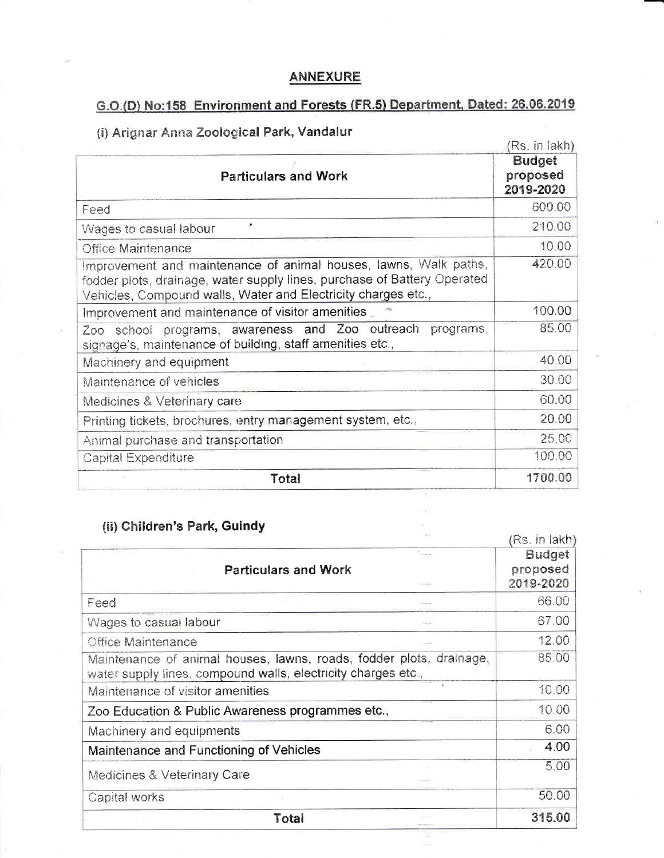# **ANNEXURE**

# G.O.(D) No:158 Environment and Forests (FR.5) Department, Dated: 26.06.2019

## (i) Arignar Anna Zoological Park, Vandalur

|                                                                                                                                                                                                               | Rs. In lakh)                           |
|---------------------------------------------------------------------------------------------------------------------------------------------------------------------------------------------------------------|----------------------------------------|
| <b>Particulars and Work</b>                                                                                                                                                                                   | <b>Budget</b><br>proposed<br>2019-2020 |
| Feed                                                                                                                                                                                                          | 600.00                                 |
| ٠<br>Wages to casual labour                                                                                                                                                                                   | 210.00                                 |
| <b>Office Maintenance</b>                                                                                                                                                                                     | 10.00                                  |
| Improvement and maintenance of animal houses, lawns, Walk paths,<br>fodder plots, drainage, water supply lines, purchase of Battery Operated<br>Vehicles, Compound walls, Water and Electricity charges etc., | 420.00                                 |
| Improvement and maintenance of visitor amenities                                                                                                                                                              | 100.00                                 |
| Zoo school programs, awareness and Zoo outreach programs,<br>signage's, maintenance of building, staff amenities etc.,                                                                                        | 85.00                                  |
| Machinery and equipment                                                                                                                                                                                       | 40.00                                  |
| Maintenance of vehicles                                                                                                                                                                                       | 30.00                                  |
| Medicines & Veterinary care                                                                                                                                                                                   | 60.00                                  |
| Printing tickets, brochures, entry management system, etc.,                                                                                                                                                   | 20.00                                  |
| Animal purchase and transportation                                                                                                                                                                            | 25.00                                  |
| <b>Capital Expenditure</b>                                                                                                                                                                                    | 100.00                                 |
| Total                                                                                                                                                                                                         | 1700.00                                |

# (ii) Children's Park, Guindy

|                                                                                                                                      | IKS. IN IAKNI                          |
|--------------------------------------------------------------------------------------------------------------------------------------|----------------------------------------|
| <b>CONTRACTOR</b><br><b>Particulars and Work</b>                                                                                     | <b>Budget</b><br>proposed<br>2019-2020 |
| Feed                                                                                                                                 | 66.00                                  |
| Wages to casual labour                                                                                                               | 67.00                                  |
| <b>Office Maintenance</b>                                                                                                            | 12.00                                  |
| Maintenance of animal houses, lawns, roads, fodder plots, drainage,<br>water supply lines, compound walls, electricity charges etc., | 85,00                                  |
| Maintenance of visitor amenities                                                                                                     | 10.00                                  |
| Zoo Education & Public Awareness programmes etc.,                                                                                    | 10.00                                  |
| Machinery and equipments                                                                                                             | 6.00                                   |
| Maintenance and Functioning of Vehicles                                                                                              | 4.00                                   |
| Medicines & Veterinary Care                                                                                                          | 5.00                                   |
| Capital works                                                                                                                        | 50.00                                  |
| Total                                                                                                                                | 315.00                                 |

 $3 - 3 - 8 - 3$